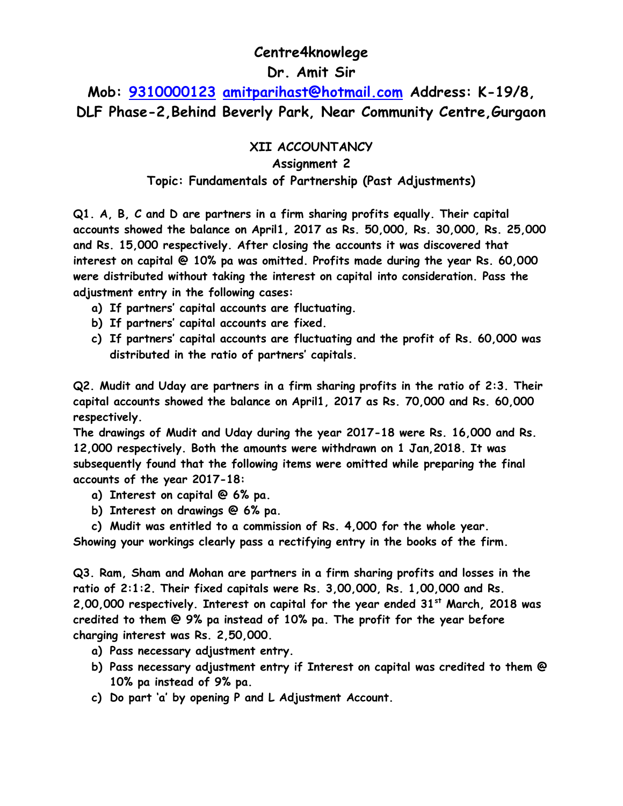# **Centre4knowlege**

# **Dr. Amit Sir**

**Mob: [9310000123](tel:9310000123) [amitparihast@hotmail.com](mailto:amitparihast@hotmail.com) Address: K-19/8, DLF Phase-2,Behind Beverly Park, Near Community Centre,Gurgaon**

### **XII ACCOUNTANCY**

#### **Assignment 2**

### **Topic: Fundamentals of Partnership (Past Adjustments)**

**Q1. A, B, C and D are partners in a firm sharing profits equally. Their capital accounts showed the balance on April1, 2017 as Rs. 50,000, Rs. 30,000, Rs. 25,000 and Rs. 15,000 respectively. After closing the accounts it was discovered that interest on capital @ 10% pa was omitted. Profits made during the year Rs. 60,000 were distributed without taking the interest on capital into consideration. Pass the adjustment entry in the following cases:**

- **a) If partners' capital accounts are fluctuating.**
- **b) If partners' capital accounts are fixed.**
- **c) If partners' capital accounts are fluctuating and the profit of Rs. 60,000 was distributed in the ratio of partners' capitals.**

**Q2. Mudit and Uday are partners in a firm sharing profits in the ratio of 2:3. Their capital accounts showed the balance on April1, 2017 as Rs. 70,000 and Rs. 60,000 respectively.**

**The drawings of Mudit and Uday during the year 2017-18 were Rs. 16,000 and Rs. 12,000 respectively. Both the amounts were withdrawn on 1 Jan,2018. It was subsequently found that the following items were omitted while preparing the final accounts of the year 2017-18:**

- **a) Interest on capital @ 6% pa.**
- **b) Interest on drawings @ 6% pa.**

**c) Mudit was entitled to a commission of Rs. 4,000 for the whole year. Showing your workings clearly pass a rectifying entry in the books of the firm.**

**Q3. Ram, Sham and Mohan are partners in a firm sharing profits and losses in the ratio of 2:1:2. Their fixed capitals were Rs. 3,00,000, Rs. 1,00,000 and Rs. 2,00,000 respectively. Interest on capital for the year ended 31st March, 2018 was credited to them @ 9% pa instead of 10% pa. The profit for the year before charging interest was Rs. 2,50,000.** 

- **a) Pass necessary adjustment entry.**
- **b) Pass necessary adjustment entry if Interest on capital was credited to them @ 10% pa instead of 9% pa.**
- **c) Do part 'a' by opening P and L Adjustment Account.**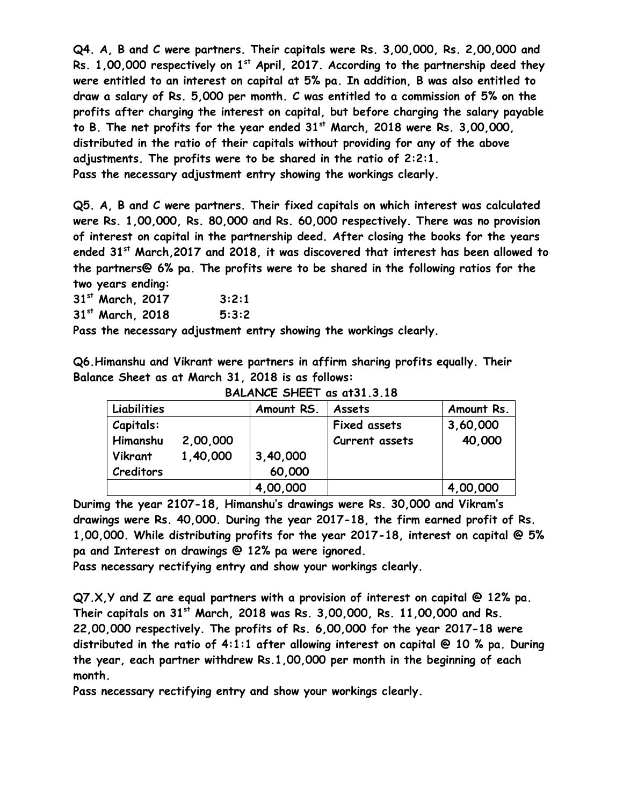**Q4. A, B and C were partners. Their capitals were Rs. 3,00,000, Rs. 2,00,000 and Rs. 1,00,000 respectively on 1st April, 2017. According to the partnership deed they were entitled to an interest on capital at 5% pa. In addition, B was also entitled to draw a salary of Rs. 5,000 per month. C was entitled to a commission of 5% on the profits after charging the interest on capital, but before charging the salary payable to B. The net profits for the year ended 31st March, 2018 were Rs. 3,00,000, distributed in the ratio of their capitals without providing for any of the above adjustments. The profits were to be shared in the ratio of 2:2:1. Pass the necessary adjustment entry showing the workings clearly.**

**Q5. A, B and C were partners. Their fixed capitals on which interest was calculated were Rs. 1,00,000, Rs. 80,000 and Rs. 60,000 respectively. There was no provision of interest on capital in the partnership deed. After closing the books for the years ended 31st March,2017 and 2018, it was discovered that interest has been allowed to the partners@ 6% pa. The profits were to be shared in the following ratios for the two years ending:**

**31st March, 2017 3:2:1**

**31st March, 2018 5:3:2**

**Pass the necessary adjustment entry showing the workings clearly.**

**Q6.Himanshu and Vikrant were partners in affirm sharing profits equally. Their Balance Sheet as at March 31, 2018 is as follows:**

| Liabilities      |          | Amount RS. | Assets              | Amount Rs. |
|------------------|----------|------------|---------------------|------------|
| <b>Capitals:</b> |          |            | <b>Fixed assets</b> | 3,60,000   |
| Himanshu         | 2,00,000 |            | Current assets      | 40,000     |
| Vikrant          | 1,40,000 | 3,40,000   |                     |            |
| <b>Creditors</b> |          | 60,000     |                     |            |
|                  |          | 4,00,000   |                     | 4,00,000   |

**BALANCE SHEET as at31.3.18**

**Durimg the year 2107-18, Himanshu's drawings were Rs. 30,000 and Vikram's drawings were Rs. 40,000. During the year 2017-18, the firm earned profit of Rs. 1,00,000. While distributing profits for the year 2017-18, interest on capital @ 5% pa and Interest on drawings @ 12% pa were ignored.**

**Pass necessary rectifying entry and show your workings clearly.**

**Q7.X,Y and Z are equal partners with a provision of interest on capital @ 12% pa. Their capitals on 31st March, 2018 was Rs. 3,00,000, Rs. 11,00,000 and Rs. 22,00,000 respectively. The profits of Rs. 6,00,000 for the year 2017-18 were distributed in the ratio of 4:1:1 after allowing interest on capital @ 10 % pa. During the year, each partner withdrew Rs.1,00,000 per month in the beginning of each month.**

**Pass necessary rectifying entry and show your workings clearly.**